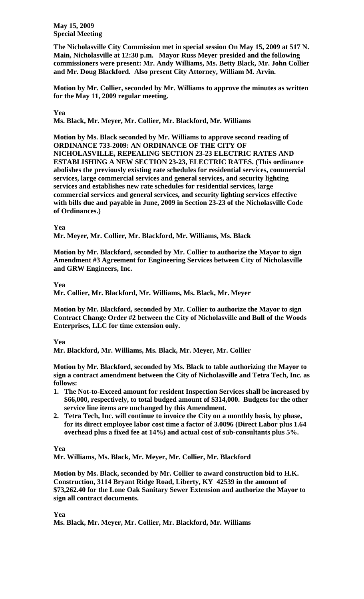**May 15, 2009 Special Meeting** 

**The Nicholasville City Commission met in special session On May 15, 2009 at 517 N. Main, Nicholasville at 12:30 p.m. Mayor Russ Meyer presided and the following commissioners were present: Mr. Andy Williams, Ms. Betty Black, Mr. John Collier and Mr. Doug Blackford. Also present City Attorney, William M. Arvin.** 

**Motion by Mr. Collier, seconded by Mr. Williams to approve the minutes as written for the May 11, 2009 regular meeting.** 

# **Yea**

**Ms. Black, Mr. Meyer, Mr. Collier, Mr. Blackford, Mr. Williams** 

**Motion by Ms. Black seconded by Mr. Williams to approve second reading of ORDINANCE 733-2009: AN ORDINANCE OF THE CITY OF NICHOLASVILLE, REPEALING SECTION 23-23 ELECTRIC RATES AND ESTABLISHING A NEW SECTION 23-23, ELECTRIC RATES. (This ordinance abolishes the previously existing rate schedules for residential services, commercial services, large commercial services and general services, and security lighting services and establishes new rate schedules for residential services, large commercial services and general services, and security lighting services effective with bills due and payable in June, 2009 in Section 23-23 of the Nicholasville Code of Ordinances.)** 

## **Yea**

**Mr. Meyer, Mr. Collier, Mr. Blackford, Mr. Williams, Ms. Black** 

**Motion by Mr. Blackford, seconded by Mr. Collier to authorize the Mayor to sign Amendment #3 Agreement for Engineering Services between City of Nicholasville and GRW Engineers, Inc.** 

## **Yea**

**Mr. Collier, Mr. Blackford, Mr. Williams, Ms. Black, Mr. Meyer** 

**Motion by Mr. Blackford, seconded by Mr. Collier to authorize the Mayor to sign Contract Change Order #2 between the City of Nicholasville and Bull of the Woods Enterprises, LLC for time extension only.** 

### **Yea**

**Mr. Blackford, Mr. Williams, Ms. Black, Mr. Meyer, Mr. Collier** 

**Motion by Mr. Blackford, seconded by Ms. Black to table authorizing the Mayor to sign a contract amendment between the City of Nicholasville and Tetra Tech, Inc. as follows:** 

- **1. The Not-to-Exceed amount for resident Inspection Services shall be increased by \$66,000, respectively, to total budged amount of \$314,000. Budgets for the other service line items are unchanged by this Amendment.**
- **2. Tetra Tech, Inc. will continue to invoice the City on a monthly basis, by phase, for its direct employee labor cost time a factor of 3.0096 (Direct Labor plus 1.64 overhead plus a fixed fee at 14%) and actual cost of sub-consultants plus 5%.**

# **Yea**

**Mr. Williams, Ms. Black, Mr. Meyer, Mr. Collier, Mr. Blackford** 

**Motion by Ms. Black, seconded by Mr. Collier to award construction bid to H.K. Construction, 3114 Bryant Ridge Road, Liberty, KY 42539 in the amount of \$73,262.40 for the Lone Oak Sanitary Sewer Extension and authorize the Mayor to sign all contract documents.** 

### **Yea**

**Ms. Black, Mr. Meyer, Mr. Collier, Mr. Blackford, Mr. Williams**